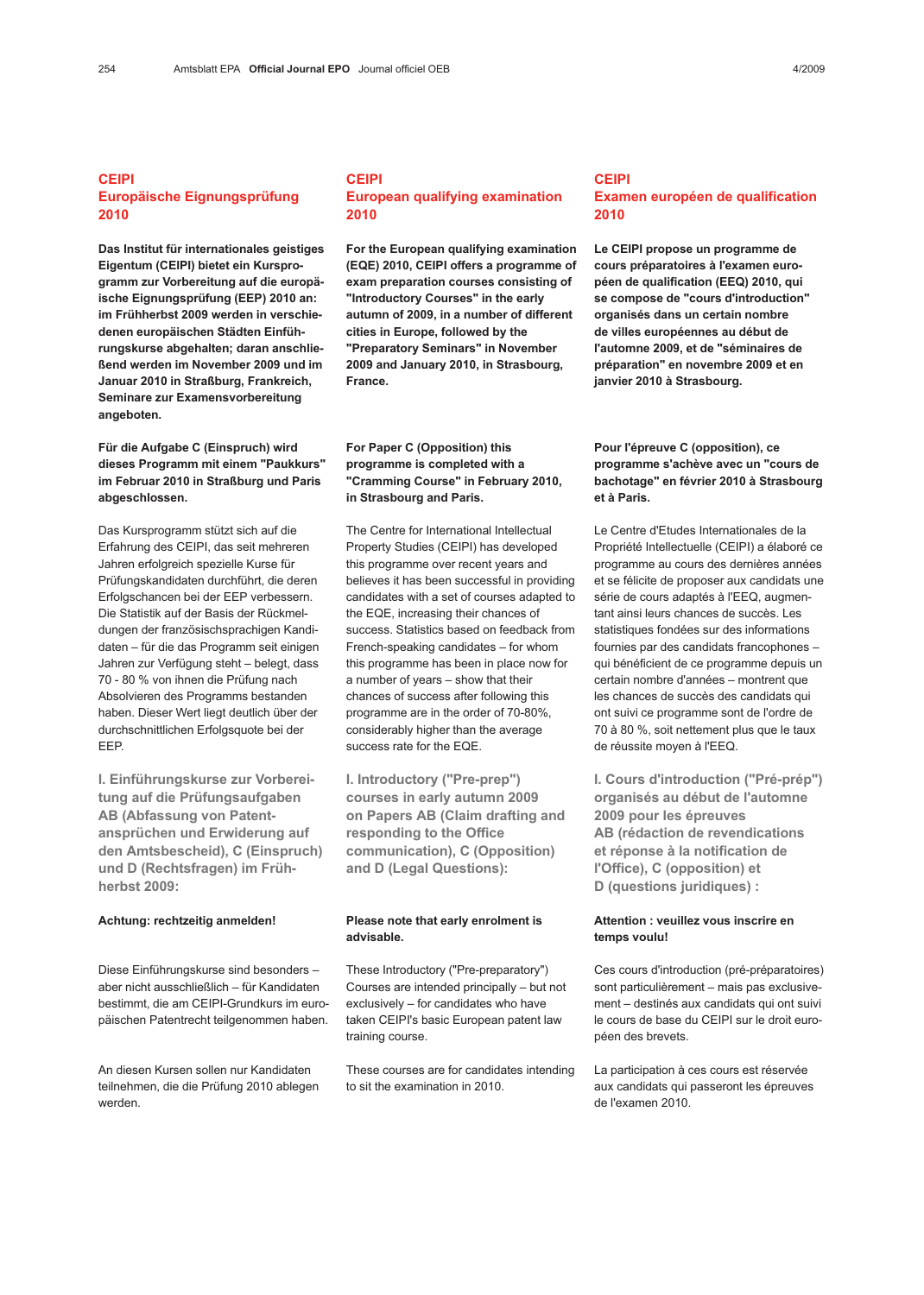# CEIPI Europäische Eignungsprüfung 2010

Das Institut für internationales geistiges Eigentum (CEIPI) bietet ein Kursprogramm zur Vorbereitung auf die europäische Eignungsprüfung (EEP) 2010 an: im Frühherbst 2009 werden in verschiedenen europäischen Städten Einführungskurse abgehalten; daran anschließend werden im November 2009 und im Januar 2010 in Straßburg, Frankreich, Seminare zur Examensvorbereitung angeboten.

# Für die Aufgabe C (Einspruch) wird dieses Programm mit einem "Paukkurs" im Februar 2010 in Straßburg und Paris abgeschlossen.

Das Kursprogramm stützt sich auf die Erfahrung des CEIPI, das seit mehreren Jahren erfolgreich spezielle Kurse für Prüfungskandidaten durchführt, die deren Erfolgschancen bei der EEP verbessern. Die Statistik auf der Basis der Rückmeldungen der französischsprachigen Kandidaten – für die das Programm seit einigen Jahren zur Verfügung steht – belegt, dass 70 - 80 % von ihnen die Prüfung nach Absolvieren des Programms bestanden haben. Dieser Wert liegt deutlich über der durchschnittlichen Erfolgsquote bei der EEP.

I. Einführungskurse zur Vorbereitung auf die Prüfungsaufgaben AB (Abfassung von Patentansprüchen und Erwiderung auf den Amtsbescheid), C (Einspruch) und D (Rechtsfragen) im Frühherbst 2009:

#### Achtung: rechtzeitig anmelden!

Diese Einführungskurse sind besonders – aber nicht ausschließlich – für Kandidaten bestimmt, die am CEIPI-Grundkurs im europäischen Patentrecht teilgenommen haben.

An diesen Kursen sollen nur Kandidaten teilnehmen, die die Prüfung 2010 ablegen werden.

# CEIPI European qualifying examination 2010

For the European qualifying examination (EQE) 2010, CEIPI offers a programme of exam preparation courses consisting of "Introductory Courses" in the early autumn of 2009, in a number of different cities in Europe, followed by the "Preparatory Seminars" in November 2009 and January 2010, in Strasbourg, France.

# For Paper C (Opposition) this programme is completed with a "Cramming Course" in February 2010, in Strasbourg and Paris.

The Centre for International Intellectual Property Studies (CEIPI) has developed this programme over recent years and believes it has been successful in providing candidates with a set of courses adapted to the EQE, increasing their chances of success. Statistics based on feedback from French-speaking candidates – for whom this programme has been in place now for a number of years – show that their chances of success after following this programme are in the order of 70-80%, considerably higher than the average success rate for the EQE.

I. Introductory ("Pre-prep") courses in early autumn 2009 on Papers AB (Claim drafting and responding to the Office communication), C (Opposition) and D (Legal Questions):

### Please note that early enrolment is advisable.

These Introductory ("Pre-preparatory") Courses are intended principally – but not exclusively – for candidates who have taken CEIPI's basic European patent law training course.

These courses are for candidates intending to sit the examination in 2010.

## CEIPI Examen européen de qualification 2010

Le CEIPI propose un programme de cours préparatoires à l'examen européen de qualification (EEQ) 2010, qui se compose de "cours d'introduction" organisés dans un certain nombre de villes européennes au début de l'automne 2009, et de "séminaires de préparation" en novembre 2009 et en janvier 2010 à Strasbourg.

## Pour l'épreuve C (opposition), ce programme s'achève avec un "cours de bachotage" en février 2010 à Strasbourg et à Paris.

Le Centre d'Etudes Internationales de la Propriété Intellectuelle (CEIPI) a élaboré ce programme au cours des dernières années et se félicite de proposer aux candidats une série de cours adaptés à l'EEQ, augmentant ainsi leurs chances de succès. Les statistiques fondées sur des informations fournies par des candidats francophones – qui bénéficient de ce programme depuis un certain nombre d'années – montrent que les chances de succès des candidats qui ont suivi ce programme sont de l'ordre de 70 à 80 %, soit nettement plus que le taux de réussite moyen à l'EEQ.

I. Cours d'introduction ("Pré-prép") organisés au début de l'automne 2009 pour les épreuves AB (rédaction de revendications et réponse à la notification de l'Office), C (opposition) et D (questions juridiques) :

## Attention : veuillez vous inscrire en temps voulu!

Ces cours d'introduction (pré-préparatoires) sont particulièrement – mais pas exclusivement – destinés aux candidats qui ont suivi le cours de base du CEIPI sur le droit européen des brevets.

La participation à ces cours est réservée aux candidats qui passeront les épreuves de l'examen 2010.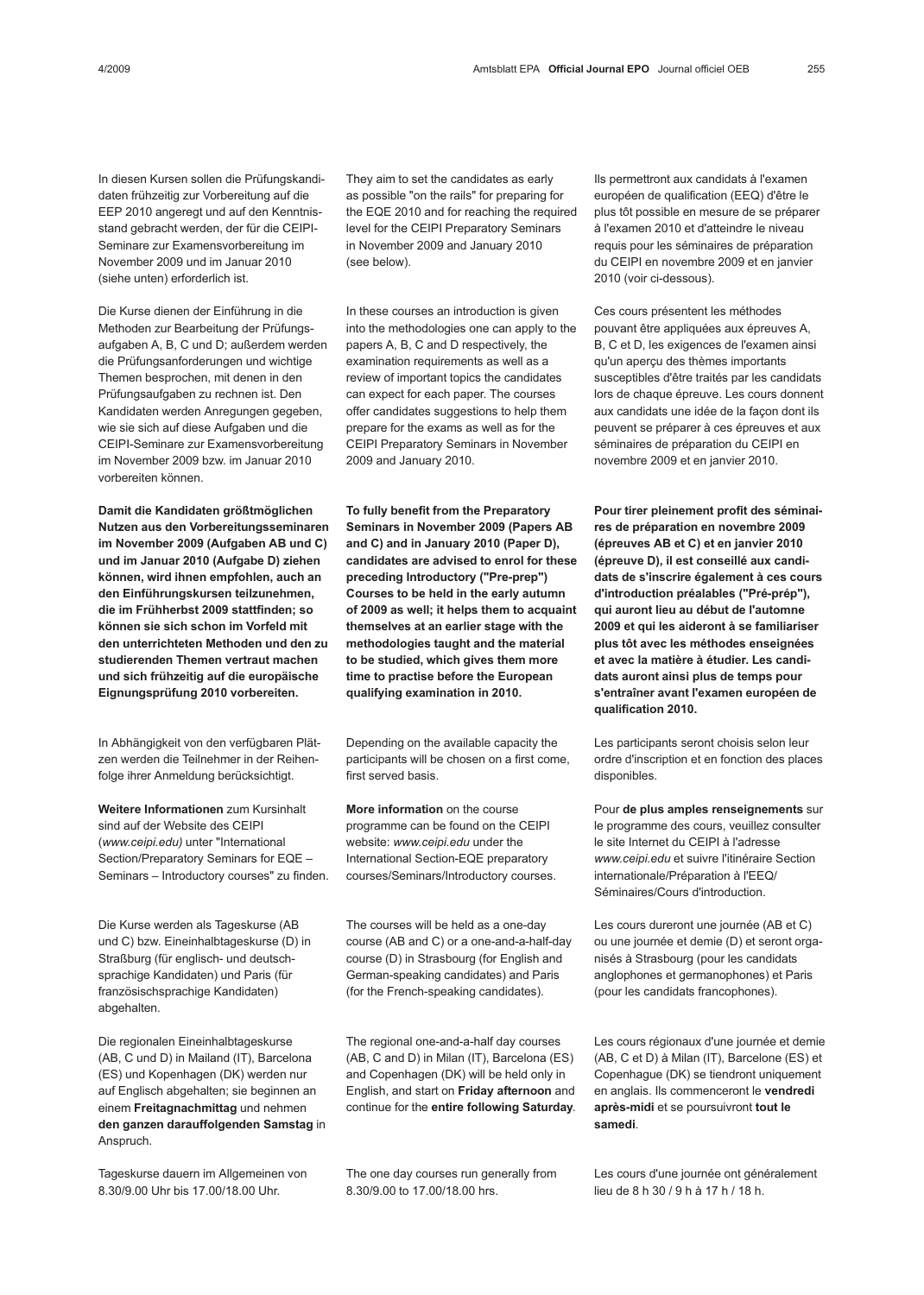In diesen Kursen sollen die Prüfungskandidaten frühzeitig zur Vorbereitung auf die EEP 2010 angeregt und auf den Kenntnisstand gebracht werden, der für die CEIPI-Seminare zur Examensvorbereitung im November 2009 und im Januar 2010 (siehe unten) erforderlich ist.

Die Kurse dienen der Einführung in die Methoden zur Bearbeitung der Prüfungsaufgaben A, B, C und D; außerdem werden die Prüfungsanforderungen und wichtige Themen besprochen, mit denen in den Prüfungsaufgaben zu rechnen ist. Den Kandidaten werden Anregungen gegeben, wie sie sich auf diese Aufgaben und die CEIPI-Seminare zur Examensvorbereitung im November 2009 bzw. im Januar 2010 vorbereiten können.

Damit die Kandidaten größtmöglichen Nutzen aus den Vorbereitungsseminaren im November 2009 (Aufgaben AB und C) und im Januar 2010 (Aufgabe D) ziehen können, wird ihnen empfohlen, auch an den Einführungskursen teilzunehmen, die im Frühherbst 2009 stattfinden; so können sie sich schon im Vorfeld mit den unterrichteten Methoden und den zu studierenden Themen vertraut machen und sich frühzeitig auf die europäische Eignungsprüfung 2010 vorbereiten.

In Abhängigkeit von den verfügbaren Plätzen werden die Teilnehmer in der Reihenfolge ihrer Anmeldung berücksichtigt.

Weitere Informationen zum Kursinhalt sind auf der Website des CEIPI (www.ceipi.edu) unter "International Section/Preparatory Seminars for EQE – Seminars – Introductory courses" zu finden.

Die Kurse werden als Tageskurse (AB und C) bzw. Eineinhalbtageskurse (D) in Straßburg (für englisch- und deutschsprachige Kandidaten) und Paris (für französischsprachige Kandidaten) abgehalten.

Die regionalen Eineinhalbtageskurse (AB, C und D) in Mailand (IT), Barcelona (ES) und Kopenhagen (DK) werden nur auf Englisch abgehalten; sie beginnen an einem Freitagnachmittag und nehmen den ganzen darauffolgenden Samstag in Anspruch.

Tageskurse dauern im Allgemeinen von 8.30/9.00 Uhr bis 17.00/18.00 Uhr.

They aim to set the candidates as early as possible "on the rails" for preparing for the EQE 2010 and for reaching the required level for the CEIPI Preparatory Seminars in November 2009 and January 2010 (see below).

In these courses an introduction is given into the methodologies one can apply to the papers A, B, C and D respectively, the examination requirements as well as a review of important topics the candidates can expect for each paper. The courses offer candidates suggestions to help them prepare for the exams as well as for the CEIPI Preparatory Seminars in November 2009 and January 2010.

To fully benefit from the Preparatory Seminars in November 2009 (Papers AB and C) and in January 2010 (Paper D), candidates are advised to enrol for these preceding Introductory ("Pre-prep") Courses to be held in the early autumn of 2009 as well; it helps them to acquaint themselves at an earlier stage with the methodologies taught and the material to be studied, which gives them more time to practise before the European qualifying examination in 2010.

Depending on the available capacity the participants will be chosen on a first come, first served basis.

More information on the course programme can be found on the CEIPI website: www.ceipi.edu under the International Section-EQE preparatory courses/Seminars/Introductory courses.

The courses will be held as a one-day course (AB and C) or a one-and-a-half-day course (D) in Strasbourg (for English and German-speaking candidates) and Paris (for the French-speaking candidates).

The regional one-and-a-half day courses (AB, C and D) in Milan (IT), Barcelona (ES) and Copenhagen (DK) will be held only in English, and start on Friday afternoon and continue for the entire following Saturday.

The one day courses run generally from 8.30/9.00 to 17.00/18.00 hrs.

Ils permettront aux candidats à l'examen européen de qualification (EEQ) d'être le plus tôt possible en mesure de se préparer à l'examen 2010 et d'atteindre le niveau requis pour les séminaires de préparation du CEIPI en novembre 2009 et en janvier 2010 (voir ci-dessous).

Ces cours présentent les méthodes pouvant être appliquées aux épreuves A, B, C et D, les exigences de l'examen ainsi qu'un aperçu des thèmes importants susceptibles d'être traités par les candidats lors de chaque épreuve. Les cours donnent aux candidats une idée de la façon dont ils peuvent se préparer à ces épreuves et aux séminaires de préparation du CEIPI en novembre 2009 et en janvier 2010.

Pour tirer pleinement profit des séminaires de préparation en novembre 2009 (épreuves AB et C) et en janvier 2010 (épreuve D), il est conseillé aux candidats de s'inscrire également à ces cours d'introduction préalables ("Pré-prép"), qui auront lieu au début de l'automne 2009 et qui les aideront à se familiariser plus tôt avec les méthodes enseignées et avec la matière à étudier. Les candidats auront ainsi plus de temps pour s'entraîner avant l'examen européen de qualification 2010.

Les participants seront choisis selon leur ordre d'inscription et en fonction des places disponibles.

Pour de plus amples renseignements sur le programme des cours, veuillez consulter le site Internet du CEIPI à l'adresse www.ceipi.edu et suivre l'itinéraire Section internationale/Préparation à l'EEQ/ Séminaires/Cours d'introduction.

Les cours dureront une journée (AB et C) ou une journée et demie (D) et seront organisés à Strasbourg (pour les candidats anglophones et germanophones) et Paris (pour les candidats francophones).

Les cours régionaux d'une journée et demie (AB, C et D) à Milan (IT), Barcelone (ES) et Copenhague (DK) se tiendront uniquement en anglais. Ils commenceront le vendredi après-midi et se poursuivront tout le samedi.

Les cours d'une journée ont généralement lieu de 8 h 30 / 9 h à 17 h / 18 h.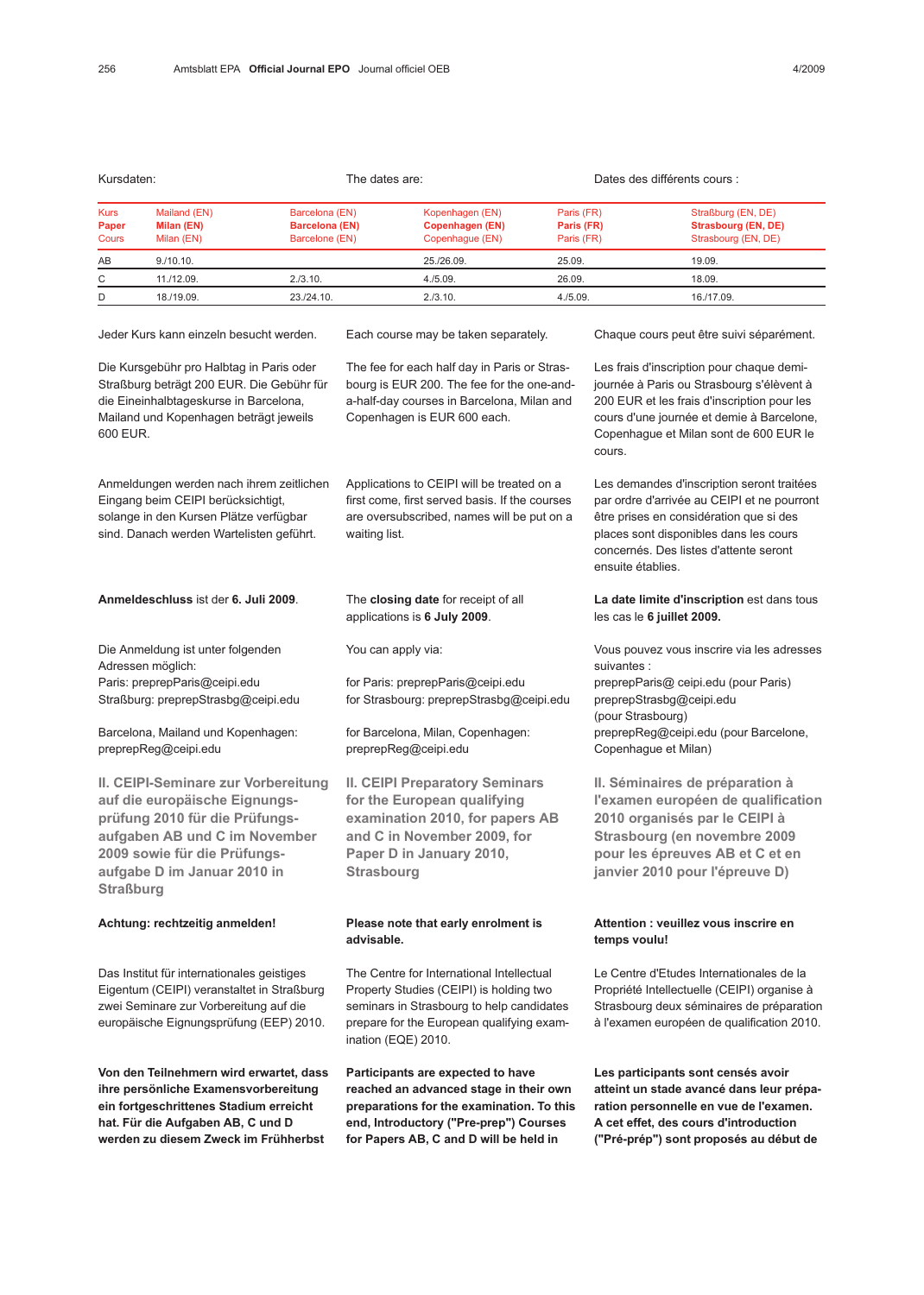| Kursdaten:                           |                                          | The dates are:                                            |                                                              | Dates des différents cours :           |                                                                  |
|--------------------------------------|------------------------------------------|-----------------------------------------------------------|--------------------------------------------------------------|----------------------------------------|------------------------------------------------------------------|
| <b>Kurs</b><br>Paper<br><b>Cours</b> | Mailand (EN)<br>Milan (EN)<br>Milan (EN) | Barcelona (EN)<br><b>Barcelona (EN)</b><br>Barcelone (EN) | Kopenhagen (EN)<br><b>Copenhagen (EN)</b><br>Copenhaque (EN) | Paris (FR)<br>Paris (FR)<br>Paris (FR) | Straßburg (EN, DE)<br>Strasbourg (EN, DE)<br>Strasbourg (EN, DE) |
| AB                                   | 9./10.10.                                |                                                           | 25./26.09.                                                   | 25.09.                                 | 19.09.                                                           |
| C                                    | 11./12.09.                               | 2./3.10.                                                  | 4./5.09.                                                     | 26.09.                                 | 18.09.                                                           |
| D                                    | 18./19.09.                               | 23./24.10.                                                | 2./3.10.                                                     | 4./5.09.                               | 16./17.09.                                                       |

Jeder Kurs kann einzeln besucht werden.

Die Kursgebühr pro Halbtag in Paris oder Straßburg beträgt 200 EUR. Die Gebühr für die Eineinhalbtageskurse in Barcelona, Mailand und Kopenhagen beträgt jeweils 600 EUR.

Anmeldungen werden nach ihrem zeitlichen Eingang beim CEIPI berücksichtigt, solange in den Kursen Plätze verfügbar sind. Danach werden Wartelisten geführt.

Anmeldeschluss ist der 6. Juli 2009.

Die Anmeldung ist unter folgenden Adressen möglich: Paris: preprepParis@ceipi.edu Straßburg: preprepStrasbg@ceipi.edu

Barcelona, Mailand und Kopenhagen: preprepReg@ceipi.edu

II. CEIPI-Seminare zur Vorbereitung auf die europäische Eignungsprüfung 2010 für die Prüfungsaufgaben AB und C im November 2009 sowie für die Prüfungsaufgabe D im Januar 2010 in **Straßburg** 

#### Achtung: rechtzeitig anmelden!

Das Institut für internationales geistiges Eigentum (CEIPI) veranstaltet in Straßburg zwei Seminare zur Vorbereitung auf die europäische Eignungsprüfung (EEP) 2010.

Von den Teilnehmern wird erwartet, dass ihre persönliche Examensvorbereitung ein fortgeschrittenes Stadium erreicht hat. Für die Aufgaben AB, C und D werden zu diesem Zweck im Frühherbst

Each course may be taken separately.

The fee for each half day in Paris or Strasbourg is EUR 200. The fee for the one-anda-half-day courses in Barcelona, Milan and Copenhagen is EUR 600 each.

Applications to CEIPI will be treated on a first come, first served basis. If the courses are oversubscribed, names will be put on a waiting list.

The closing date for receipt of all applications is 6 July 2009.

You can apply via:

for Paris: preprepParis@ceipi.edu for Strasbourg: preprepStrasbg@ceipi.edu

for Barcelona, Milan, Copenhagen: preprepReg@ceipi.edu

II. CEIPI Preparatory Seminars for the European qualifying examination 2010, for papers AB and C in November 2009, for Paper D in January 2010, **Strasbourg** 

## Please note that early enrolment is advisable.

The Centre for International Intellectual Property Studies (CEIPI) is holding two seminars in Strasbourg to help candidates prepare for the European qualifying examination (EQE) 2010.

Participants are expected to have reached an advanced stage in their own preparations for the examination. To this end, Introductory ("Pre-prep") Courses for Papers AB, C and D will be held in

Chaque cours peut être suivi séparément.

Les frais d'inscription pour chaque demijournée à Paris ou Strasbourg s'élèvent à 200 EUR et les frais d'inscription pour les cours d'une journée et demie à Barcelone, Copenhague et Milan sont de 600 EUR le cours.

Les demandes d'inscription seront traitées par ordre d'arrivée au CEIPI et ne pourront être prises en considération que si des places sont disponibles dans les cours concernés. Des listes d'attente seront ensuite établies.

La date limite d'inscription est dans tous les cas le 6 juillet 2009.

Vous pouvez vous inscrire via les adresses suivantes : preprepParis@ ceipi.edu (pour Paris) preprepStrasbg@ceipi.edu (pour Strasbourg) preprepReg@ceipi.edu (pour Barcelone, Copenhague et Milan)

II. Séminaires de préparation à l'examen européen de qualification 2010 organisés par le CEIPI à Strasbourg (en novembre 2009 pour les épreuves AB et C et en janvier 2010 pour l'épreuve D)

## Attention : veuillez vous inscrire en temps voulu!

Le Centre d'Etudes Internationales de la Propriété Intellectuelle (CEIPI) organise à Strasbourg deux séminaires de préparation à l'examen européen de qualification 2010.

Les participants sont censés avoir atteint un stade avancé dans leur préparation personnelle en vue de l'examen. A cet effet, des cours d'introduction ("Pré-prép") sont proposés au début de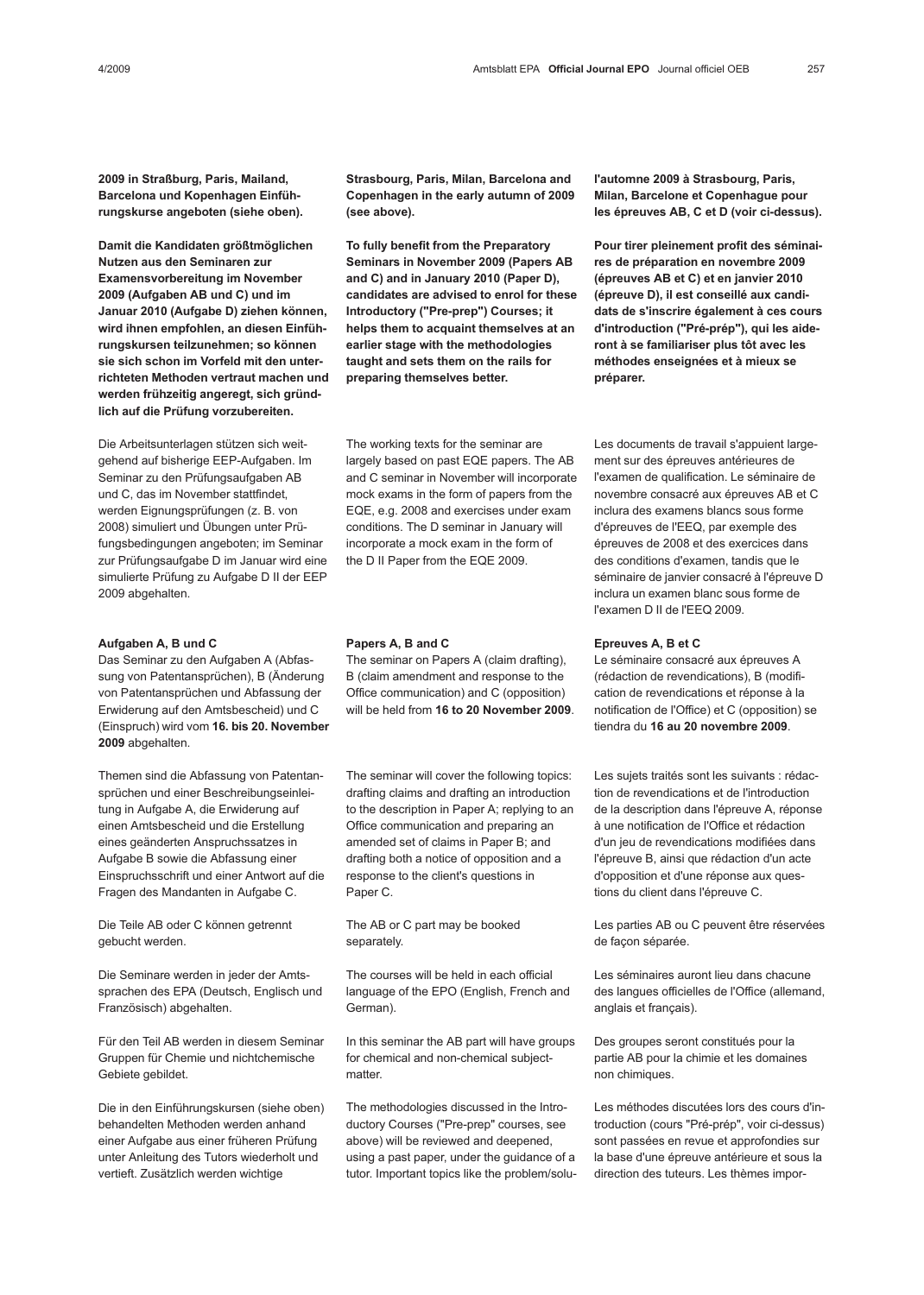2009 in Straßburg, Paris, Mailand, Barcelona und Kopenhagen Einführungskurse angeboten (siehe oben).

Damit die Kandidaten größtmöglichen Nutzen aus den Seminaren zur Examensvorbereitung im November 2009 (Aufgaben AB und C) und im Januar 2010 (Aufgabe D) ziehen können, wird ihnen empfohlen, an diesen Einführungskursen teilzunehmen; so können sie sich schon im Vorfeld mit den unterrichteten Methoden vertraut machen und werden frühzeitig angeregt, sich gründlich auf die Prüfung vorzubereiten.

Die Arbeitsunterlagen stützen sich weitgehend auf bisherige EEP-Aufgaben. Im Seminar zu den Prüfungsaufgaben AB und C, das im November stattfindet, werden Eignungsprüfungen (z. B. von 2008) simuliert und Übungen unter Prüfungsbedingungen angeboten; im Seminar zur Prüfungsaufgabe D im Januar wird eine simulierte Prüfung zu Aufgabe D II der EEP 2009 abgehalten.

### Aufgaben A, B und C

Das Seminar zu den Aufgaben A (Abfassung von Patentansprüchen), B (Änderung von Patentansprüchen und Abfassung der Erwiderung auf den Amtsbescheid) und C (Einspruch) wird vom 16. bis 20. November 2009 abgehalten.

Themen sind die Abfassung von Patentansprüchen und einer Beschreibungseinleitung in Aufgabe A, die Erwiderung auf einen Amtsbescheid und die Erstellung eines geänderten Anspruchssatzes in Aufgabe B sowie die Abfassung einer Einspruchsschrift und einer Antwort auf die Fragen des Mandanten in Aufgabe C.

Die Teile AB oder C können getrennt gebucht werden.

Die Seminare werden in jeder der Amtssprachen des EPA (Deutsch, Englisch und Französisch) abgehalten.

Für den Teil AB werden in diesem Seminar Gruppen für Chemie und nichtchemische Gebiete gebildet.

Die in den Einführungskursen (siehe oben) behandelten Methoden werden anhand einer Aufgabe aus einer früheren Prüfung unter Anleitung des Tutors wiederholt und vertieft. Zusätzlich werden wichtige

Strasbourg, Paris, Milan, Barcelona and Copenhagen in the early autumn of 2009 (see above).

To fully benefit from the Preparatory Seminars in November 2009 (Papers AB and C) and in January 2010 (Paper D), candidates are advised to enrol for these Introductory ("Pre-prep") Courses; it helps them to acquaint themselves at an earlier stage with the methodologies taught and sets them on the rails for preparing themselves better.

The working texts for the seminar are largely based on past EQE papers. The AB and C seminar in November will incorporate mock exams in the form of papers from the EQE, e.g. 2008 and exercises under exam conditions. The D seminar in January will incorporate a mock exam in the form of the D II Paper from the EQE 2009.

### Papers A, B and C

The seminar on Papers A (claim drafting), B (claim amendment and response to the Office communication) and C (opposition) will be held from 16 to 20 November 2009.

The seminar will cover the following topics: drafting claims and drafting an introduction to the description in Paper A; replying to an Office communication and preparing an amended set of claims in Paper B; and drafting both a notice of opposition and a response to the client's questions in Paper C.

The AB or C part may be booked separately.

The courses will be held in each official language of the EPO (English, French and German).

In this seminar the AB part will have groups for chemical and non-chemical subjectmatter.

The methodologies discussed in the Introductory Courses ("Pre-prep" courses, see above) will be reviewed and deepened, using a past paper, under the guidance of a tutor. Important topics like the problem/solul'automne 2009 à Strasbourg, Paris, Milan, Barcelone et Copenhague pour les épreuves AB, C et D (voir ci-dessus).

Pour tirer pleinement profit des séminaires de préparation en novembre 2009 (épreuves AB et C) et en janvier 2010 (épreuve D), il est conseillé aux candidats de s'inscrire également à ces cours d'introduction ("Pré-prép"), qui les aideront à se familiariser plus tôt avec les méthodes enseignées et à mieux se préparer.

Les documents de travail s'appuient largement sur des épreuves antérieures de l'examen de qualification. Le séminaire de novembre consacré aux épreuves AB et C inclura des examens blancs sous forme d'épreuves de l'EEQ, par exemple des épreuves de 2008 et des exercices dans des conditions d'examen, tandis que le séminaire de janvier consacré à l'épreuve D inclura un examen blanc sous forme de l'examen D II de l'EEQ 2009.

### Epreuves A, B et C

Le séminaire consacré aux épreuves A (rédaction de revendications), B (modification de revendications et réponse à la notification de l'Office) et C (opposition) se tiendra du 16 au 20 novembre 2009.

Les sujets traités sont les suivants : rédaction de revendications et de l'introduction de la description dans l'épreuve A, réponse à une notification de l'Office et rédaction d'un jeu de revendications modifiées dans l'épreuve B, ainsi que rédaction d'un acte d'opposition et d'une réponse aux questions du client dans l'épreuve C.

Les parties AB ou C peuvent être réservées de façon séparée.

Les séminaires auront lieu dans chacune des langues officielles de l'Office (allemand, anglais et français).

Des groupes seront constitués pour la partie AB pour la chimie et les domaines non chimiques.

Les méthodes discutées lors des cours d'introduction (cours "Pré-prép", voir ci-dessus) sont passées en revue et approfondies sur la base d'une épreuve antérieure et sous la direction des tuteurs. Les thèmes impor-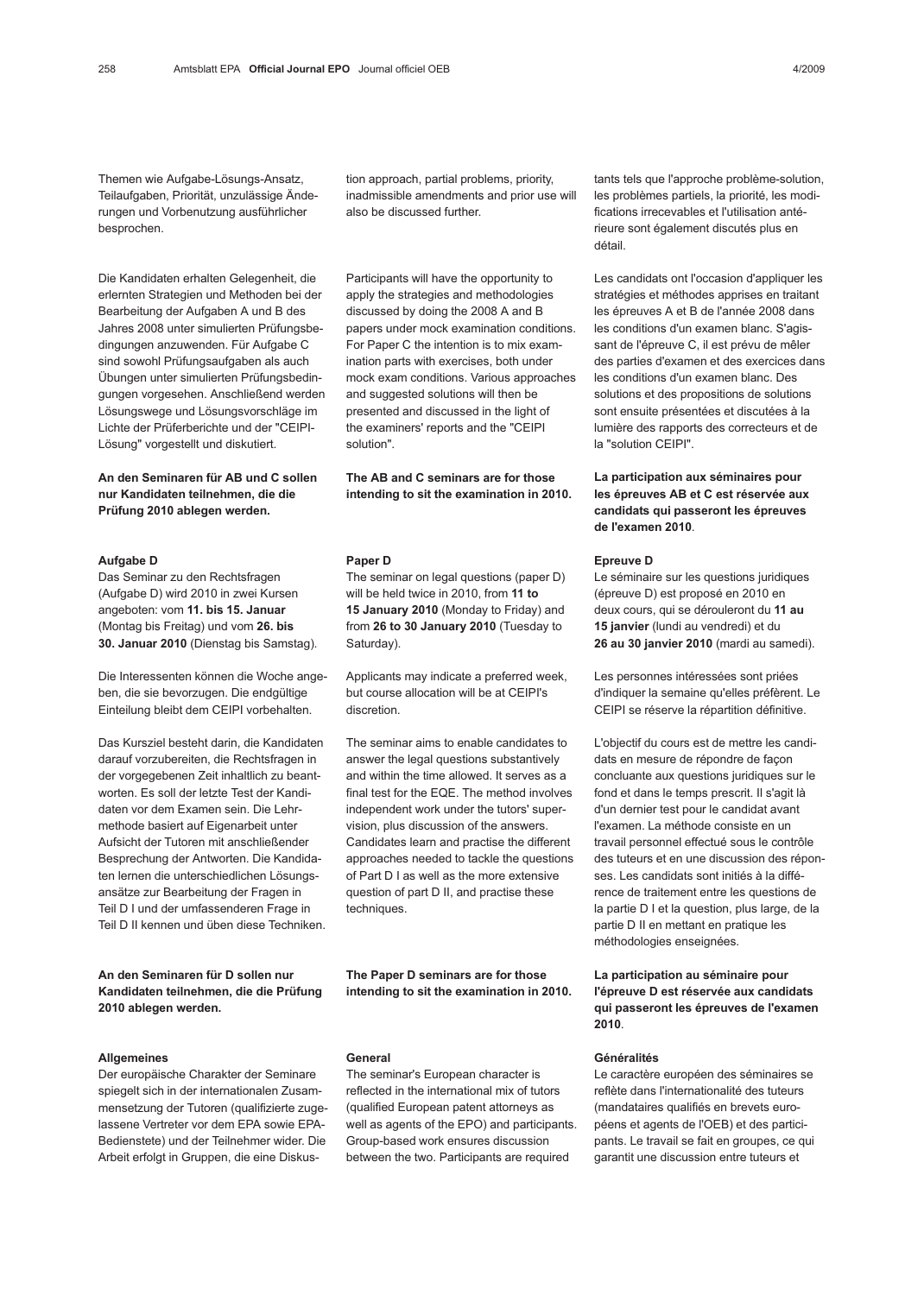Themen wie Aufgabe-Lösungs-Ansatz, Teilaufgaben, Priorität, unzulässige Änderungen und Vorbenutzung ausführlicher besprochen.

Die Kandidaten erhalten Gelegenheit, die erlernten Strategien und Methoden bei der Bearbeitung der Aufgaben A und B des Jahres 2008 unter simulierten Prüfungsbedingungen anzuwenden. Für Aufgabe C sind sowohl Prüfungsaufgaben als auch Übungen unter simulierten Prüfungsbedingungen vorgesehen. Anschließend werden Lösungswege und Lösungsvorschläge im Lichte der Prüferberichte und der "CEIPI-Lösung" vorgestellt und diskutiert.

An den Seminaren für AB und C sollen nur Kandidaten teilnehmen, die die Prüfung 2010 ablegen werden.

#### Aufgabe D

Das Seminar zu den Rechtsfragen (Aufgabe D) wird 2010 in zwei Kursen angeboten: vom 11. bis 15. Januar (Montag bis Freitag) und vom 26. bis 30. Januar 2010 (Dienstag bis Samstag).

Die Interessenten können die Woche angeben, die sie bevorzugen. Die endgültige Einteilung bleibt dem CEIPI vorbehalten.

Das Kursziel besteht darin, die Kandidaten darauf vorzubereiten, die Rechtsfragen in der vorgegebenen Zeit inhaltlich zu beantworten. Es soll der letzte Test der Kandidaten vor dem Examen sein. Die Lehrmethode basiert auf Eigenarbeit unter Aufsicht der Tutoren mit anschließender Besprechung der Antworten. Die Kandidaten lernen die unterschiedlichen Lösungsansätze zur Bearbeitung der Fragen in Teil D I und der umfassenderen Frage in Teil D II kennen und üben diese Techniken.

An den Seminaren für D sollen nur Kandidaten teilnehmen, die die Prüfung 2010 ablegen werden.

### **Allgemeines**

Der europäische Charakter der Seminare spiegelt sich in der internationalen Zusammensetzung der Tutoren (qualifizierte zugelassene Vertreter vor dem EPA sowie EPA-Bedienstete) und der Teilnehmer wider. Die Arbeit erfolgt in Gruppen, die eine Diskustion approach, partial problems, priority, inadmissible amendments and prior use will also be discussed further.

Participants will have the opportunity to apply the strategies and methodologies discussed by doing the 2008 A and B papers under mock examination conditions. For Paper C the intention is to mix examination parts with exercises, both under mock exam conditions. Various approaches and suggested solutions will then be presented and discussed in the light of the examiners' reports and the "CEIPI solution".

The AB and C seminars are for those intending to sit the examination in 2010.

#### Paper D

The seminar on legal questions (paper D) will be held twice in 2010, from 11 to 15 January 2010 (Monday to Friday) and from 26 to 30 January 2010 (Tuesday to Saturday).

Applicants may indicate a preferred week, but course allocation will be at CEIPI's discretion.

The seminar aims to enable candidates to answer the legal questions substantively and within the time allowed. It serves as a final test for the EQE. The method involves independent work under the tutors' supervision, plus discussion of the answers. Candidates learn and practise the different approaches needed to tackle the questions of Part D I as well as the more extensive question of part D II, and practise these techniques.

The Paper D seminars are for those intending to sit the examination in 2010.

#### General

The seminar's European character is reflected in the international mix of tutors (qualified European patent attorneys as well as agents of the EPO) and participants. Group-based work ensures discussion between the two. Participants are required

tants tels que l'approche problème-solution, les problèmes partiels, la priorité, les modifications irrecevables et l'utilisation antérieure sont également discutés plus en détail.

Les candidats ont l'occasion d'appliquer les stratégies et méthodes apprises en traitant les épreuves A et B de l'année 2008 dans les conditions d'un examen blanc. S'agissant de l'épreuve C, il est prévu de mêler des parties d'examen et des exercices dans les conditions d'un examen blanc. Des solutions et des propositions de solutions sont ensuite présentées et discutées à la lumière des rapports des correcteurs et de la "solution CEIPI".

La participation aux séminaires pour les épreuves AB et C est réservée aux candidats qui passeront les épreuves de l'examen 2010.

#### Epreuve D

Le séminaire sur les questions juridiques (épreuve D) est proposé en 2010 en deux cours, qui se dérouleront du 11 au 15 janvier (lundi au vendredi) et du 26 au 30 janvier 2010 (mardi au samedi).

Les personnes intéressées sont priées d'indiquer la semaine qu'elles préfèrent. Le CEIPI se réserve la répartition définitive.

L'objectif du cours est de mettre les candidats en mesure de répondre de façon concluante aux questions juridiques sur le fond et dans le temps prescrit. Il s'agit là d'un dernier test pour le candidat avant l'examen. La méthode consiste en un travail personnel effectué sous le contrôle des tuteurs et en une discussion des réponses. Les candidats sont initiés à la différence de traitement entre les questions de la partie D I et la question, plus large, de la partie D II en mettant en pratique les méthodologies enseignées.

La participation au séminaire pour l'épreuve D est réservée aux candidats qui passeront les épreuves de l'examen 2010.

## Généralités

Le caractère européen des séminaires se reflète dans l'internationalité des tuteurs (mandataires qualifiés en brevets européens et agents de l'OEB) et des participants. Le travail se fait en groupes, ce qui garantit une discussion entre tuteurs et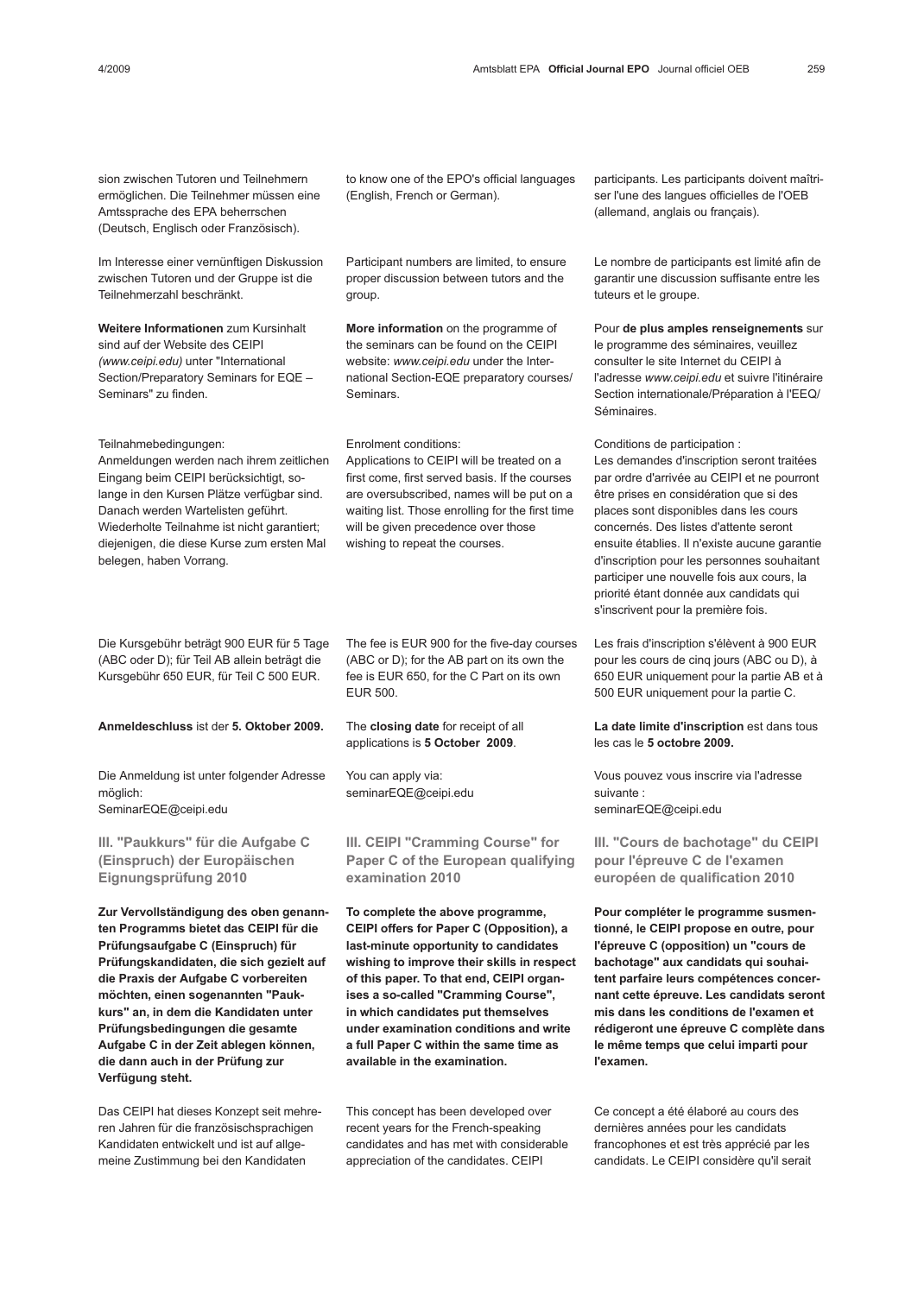Im Interesse einer vernünftigen Diskussion zwischen Tutoren und der Gruppe ist die Teilnehmerzahl beschränkt.

Weitere Informationen zum Kursinhalt sind auf der Website des CEIPI (www.ceipi.edu) unter "International Section/Preparatory Seminars for EQE – Seminars" zu finden.

Teilnahmebedingungen:

Anmeldungen werden nach ihrem zeitlichen Eingang beim CEIPI berücksichtigt, solange in den Kursen Plätze verfügbar sind. Danach werden Wartelisten geführt. Wiederholte Teilnahme ist nicht garantiert; diejenigen, die diese Kurse zum ersten Mal belegen, haben Vorrang.

Die Kursgebühr beträgt 900 EUR für 5 Tage (ABC oder D); für Teil AB allein beträgt die Kursgebühr 650 EUR, für Teil C 500 EUR.

Anmeldeschluss ist der 5. Oktober 2009.

Die Anmeldung ist unter folgender Adresse möglich: SeminarEQE@ceipi.edu

III. "Paukkurs" für die Aufgabe C (Einspruch) der Europäischen Eignungsprüfung 2010

Zur Vervollständigung des oben genannten Programms bietet das CEIPI für die Prüfungsaufgabe C (Einspruch) für Prüfungskandidaten, die sich gezielt auf die Praxis der Aufgabe C vorbereiten möchten, einen sogenannten "Paukkurs" an, in dem die Kandidaten unter Prüfungsbedingungen die gesamte Aufgabe C in der Zeit ablegen können, die dann auch in der Prüfung zur Verfügung steht.

Das CEIPI hat dieses Konzept seit mehreren Jahren für die französischsprachigen Kandidaten entwickelt und ist auf allgemeine Zustimmung bei den Kandidaten

to know one of the EPO's official languages (English, French or German).

Participant numbers are limited, to ensure proper discussion between tutors and the group.

More information on the programme of the seminars can be found on the CEIPI website: www.ceipi.edu under the International Section-EQE preparatory courses/ Seminars.

Enrolment conditions:

Applications to CEIPI will be treated on a first come, first served basis. If the courses are oversubscribed, names will be put on a waiting list. Those enrolling for the first time will be given precedence over those wishing to repeat the courses.

The fee is EUR 900 for the five-day courses (ABC or D); for the AB part on its own the fee is EUR 650, for the C Part on its own EUR 500.

The closing date for receipt of all applications is 5 October 2009.

You can apply via: seminarEQE@ceipi.edu

III. CEIPI "Cramming Course" for Paper C of the European qualifying examination 2010

To complete the above programme, CEIPI offers for Paper C (Opposition), a last-minute opportunity to candidates wishing to improve their skills in respect of this paper. To that end, CEIPI organises a so-called "Cramming Course", in which candidates put themselves under examination conditions and write a full Paper C within the same time as available in the examination.

This concept has been developed over recent years for the French-speaking candidates and has met with considerable appreciation of the candidates. CEIPI

participants. Les participants doivent maîtriser l'une des langues officielles de l'OEB (allemand, anglais ou français).

Le nombre de participants est limité afin de garantir une discussion suffisante entre les tuteurs et le groupe.

Pour de plus amples renseignements sur le programme des séminaires, veuillez consulter le site Internet du CEIPI à l'adresse www.ceipi.edu et suivre l'itinéraire Section internationale/Préparation à l'EEQ/ Séminaires.

Conditions de participation : Les demandes d'inscription seront traitées par ordre d'arrivée au CEIPI et ne pourront être prises en considération que si des places sont disponibles dans les cours concernés. Des listes d'attente seront ensuite établies. Il n'existe aucune garantie d'inscription pour les personnes souhaitant participer une nouvelle fois aux cours, la priorité étant donnée aux candidats qui s'inscrivent pour la première fois.

Les frais d'inscription s'élèvent à 900 EUR pour les cours de cinq jours (ABC ou D), à 650 EUR uniquement pour la partie AB et à 500 EUR uniquement pour la partie C.

La date limite d'inscription est dans tous les cas le 5 octobre 2009.

Vous pouvez vous inscrire via l'adresse suivante : seminarEQE@ceipi.edu

III. "Cours de bachotage" du CEIPI pour l'épreuve C de l'examen européen de qualification 2010

Pour compléter le programme susmentionné, le CEIPI propose en outre, pour l'épreuve C (opposition) un "cours de bachotage" aux candidats qui souhaitent parfaire leurs compétences concernant cette épreuve. Les candidats seront mis dans les conditions de l'examen et rédigeront une épreuve C complète dans le même temps que celui imparti pour l'examen.

Ce concept a été élaboré au cours des dernières années pour les candidats francophones et est très apprécié par les candidats. Le CEIPI considère qu'il serait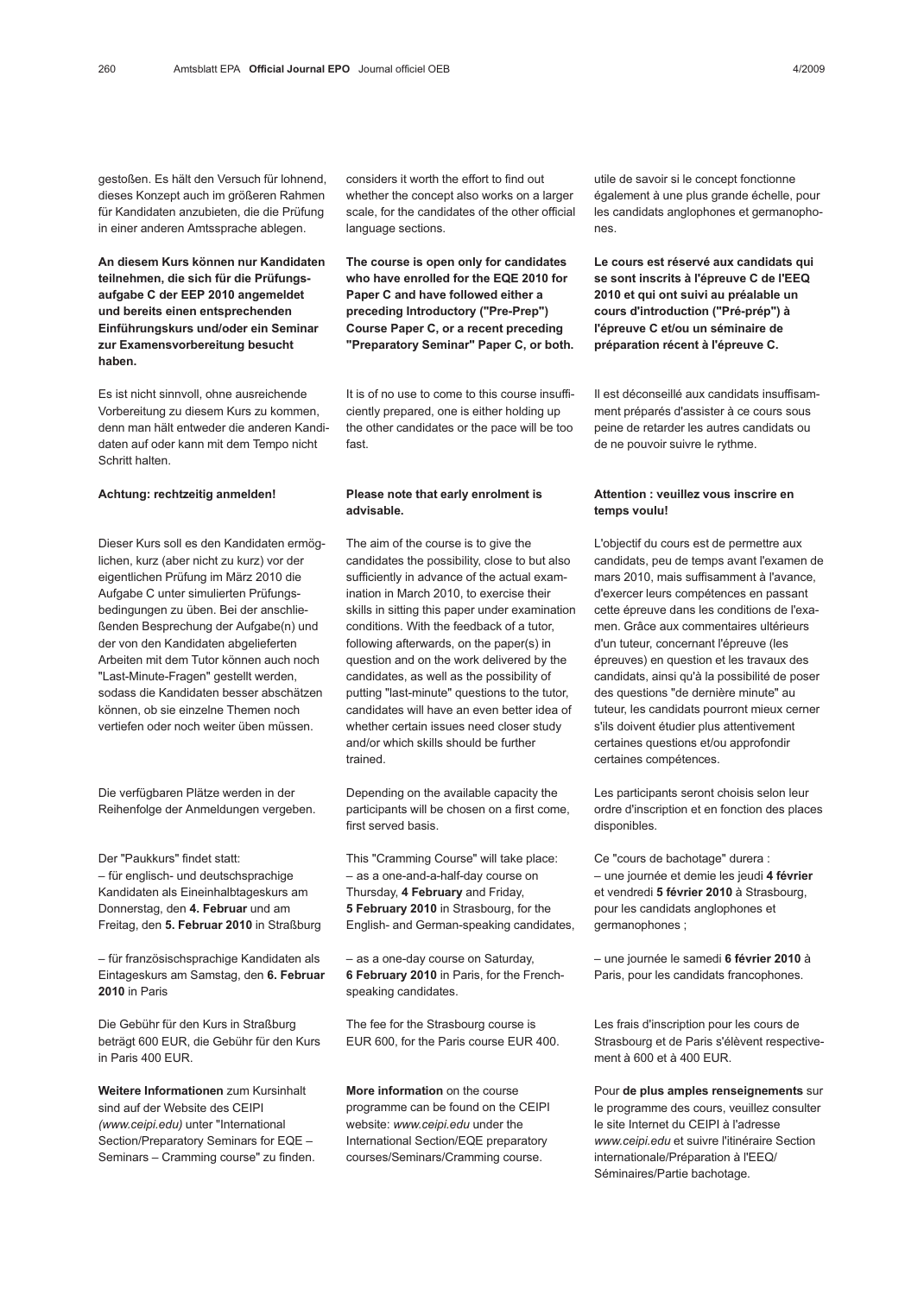gestoßen. Es hält den Versuch für lohnend, dieses Konzept auch im größeren Rahmen für Kandidaten anzubieten, die die Prüfung in einer anderen Amtssprache ablegen.

An diesem Kurs können nur Kandidaten teilnehmen, die sich für die Prüfungsaufgabe C der EEP 2010 angemeldet und bereits einen entsprechenden Einführungskurs und/oder ein Seminar zur Examensvorbereitung besucht haben.

Es ist nicht sinnvoll, ohne ausreichende Vorbereitung zu diesem Kurs zu kommen, denn man hält entweder die anderen Kandidaten auf oder kann mit dem Tempo nicht Schritt halten.

### Achtung: rechtzeitig anmelden!

Dieser Kurs soll es den Kandidaten ermöglichen, kurz (aber nicht zu kurz) vor der eigentlichen Prüfung im März 2010 die Aufgabe C unter simulierten Prüfungsbedingungen zu üben. Bei der anschließenden Besprechung der Aufgabe(n) und der von den Kandidaten abgelieferten Arbeiten mit dem Tutor können auch noch "Last-Minute-Fragen" gestellt werden, sodass die Kandidaten besser abschätzen können, ob sie einzelne Themen noch vertiefen oder noch weiter üben müssen.

Die verfügbaren Plätze werden in der Reihenfolge der Anmeldungen vergeben.

Der "Paukkurs" findet statt: – für englisch- und deutschsprachige Kandidaten als Eineinhalbtageskurs am Donnerstag, den 4. Februar und am Freitag, den 5. Februar 2010 in Straßburg

– für französischsprachige Kandidaten als Eintageskurs am Samstag, den 6. Februar 2010 in Paris

Die Gebühr für den Kurs in Straßburg beträgt 600 EUR, die Gebühr für den Kurs in Paris 400 EUR.

Weitere Informationen zum Kursinhalt sind auf der Website des CEIPI (www.ceipi.edu) unter "International Section/Preparatory Seminars for EQE – Seminars – Cramming course" zu finden. considers it worth the effort to find out whether the concept also works on a larger scale, for the candidates of the other official language sections.

The course is open only for candidates who have enrolled for the EQE 2010 for Paper C and have followed either a preceding Introductory ("Pre-Prep") Course Paper C, or a recent preceding "Preparatory Seminar" Paper C, or both.

It is of no use to come to this course insufficiently prepared, one is either holding up the other candidates or the pace will be too fast.

### Please note that early enrolment is advisable.

The aim of the course is to give the candidates the possibility, close to but also sufficiently in advance of the actual examination in March 2010, to exercise their skills in sitting this paper under examination conditions. With the feedback of a tutor, following afterwards, on the paper(s) in question and on the work delivered by the candidates, as well as the possibility of putting "last-minute" questions to the tutor, candidates will have an even better idea of whether certain issues need closer study and/or which skills should be further trained.

Depending on the available capacity the participants will be chosen on a first come, first served basis.

This "Cramming Course" will take place: – as a one-and-a-half-day course on Thursday, 4 February and Friday, 5 February 2010 in Strasbourg, for the English- and German-speaking candidates,

– as a one-day course on Saturday, 6 February 2010 in Paris, for the Frenchspeaking candidates.

The fee for the Strasbourg course is EUR 600, for the Paris course EUR 400.

More information on the course programme can be found on the CEIPI website: www.ceipi.edu under the International Section/EQE preparatory courses/Seminars/Cramming course.

utile de savoir si le concept fonctionne également à une plus grande échelle, pour les candidats anglophones et germanophones.

Le cours est réservé aux candidats qui se sont inscrits à l'épreuve C de l'EEQ 2010 et qui ont suivi au préalable un cours d'introduction ("Pré-prép") à l'épreuve C et/ou un séminaire de préparation récent à l'épreuve C.

Il est déconseillé aux candidats insuffisamment préparés d'assister à ce cours sous peine de retarder les autres candidats ou de ne pouvoir suivre le rythme.

### Attention : veuillez vous inscrire en temps voulu!

L'objectif du cours est de permettre aux candidats, peu de temps avant l'examen de mars 2010, mais suffisamment à l'avance, d'exercer leurs compétences en passant cette épreuve dans les conditions de l'examen. Grâce aux commentaires ultérieurs d'un tuteur, concernant l'épreuve (les épreuves) en question et les travaux des candidats, ainsi qu'à la possibilité de poser des questions "de dernière minute" au tuteur, les candidats pourront mieux cerner s'ils doivent étudier plus attentivement certaines questions et/ou approfondir certaines compétences.

Les participants seront choisis selon leur ordre d'inscription et en fonction des places disponibles.

Ce "cours de bachotage" durera : – une journée et demie les jeudi 4 février et vendredi 5 février 2010 à Strasbourg, pour les candidats anglophones et germanophones ;

– une journée le samedi 6 février 2010 à Paris, pour les candidats francophones.

Les frais d'inscription pour les cours de Strasbourg et de Paris s'élèvent respectivement à 600 et à 400 EUR.

Pour de plus amples renseignements sur le programme des cours, veuillez consulter le site Internet du CEIPI à l'adresse www.ceipi.edu et suivre l'itinéraire Section internationale/Préparation à l'EEQ/ Séminaires/Partie bachotage.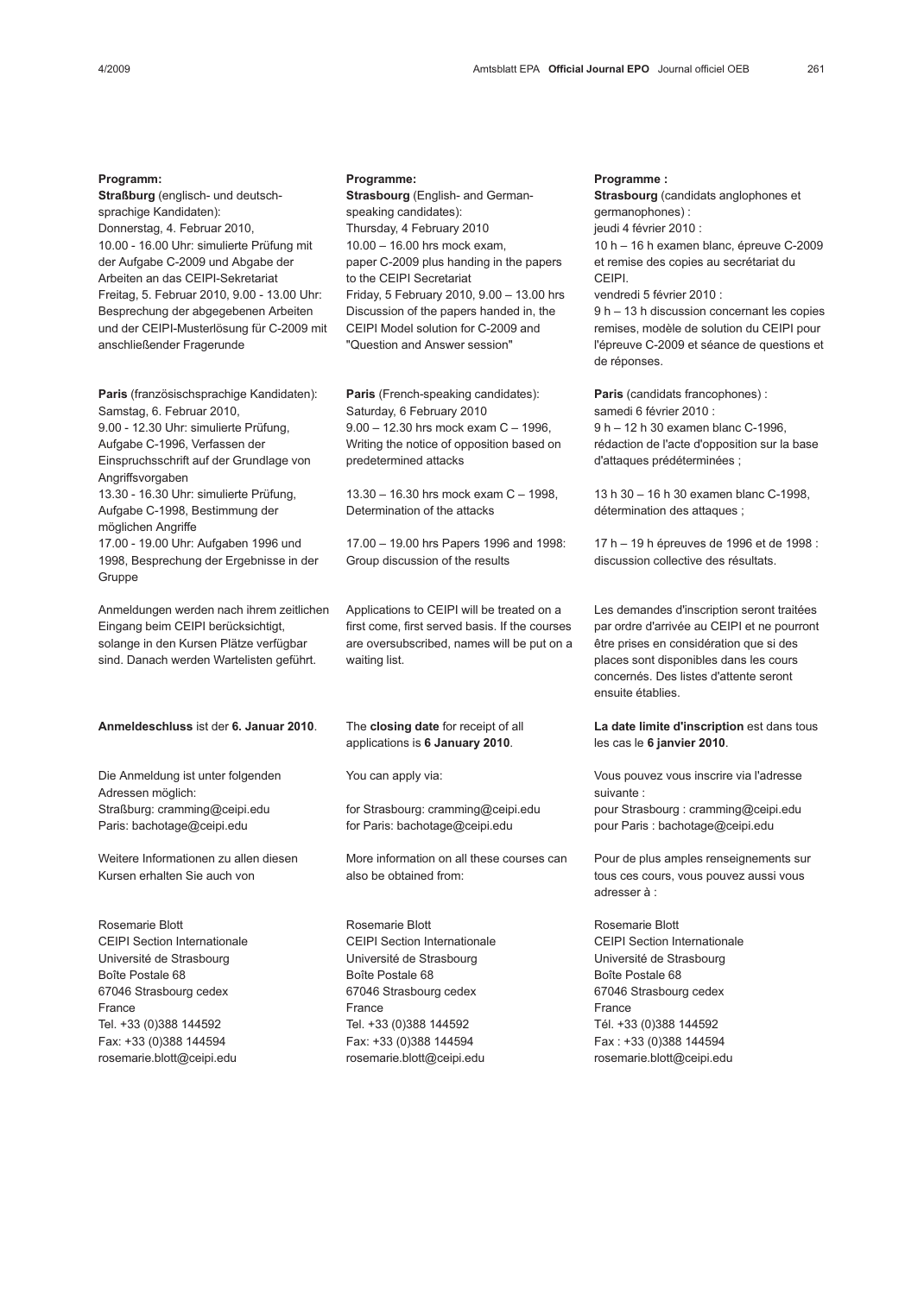#### Programm:

Straßburg (englisch- und deutschsprachige Kandidaten): Donnerstag, 4. Februar 2010, 10.00 - 16.00 Uhr: simulierte Prüfung mit der Aufgabe C-2009 und Abgabe der Arbeiten an das CEIPI-Sekretariat Freitag, 5. Februar 2010, 9.00 - 13.00 Uhr: Besprechung der abgegebenen Arbeiten und der CEIPI-Musterlösung für C-2009 mit anschließender Fragerunde

Paris (französischsprachige Kandidaten): Samstag, 6. Februar 2010, 9.00 - 12.30 Uhr: simulierte Prüfung, Aufgabe C-1996, Verfassen der Einspruchsschrift auf der Grundlage von **Angriffsvorgaben** 13.30 - 16.30 Uhr: simulierte Prüfung, Aufgabe C-1998, Bestimmung der möglichen Angriffe 17.00 - 19.00 Uhr: Aufgaben 1996 und 1998, Besprechung der Ergebnisse in der **Gruppe** 

Anmeldungen werden nach ihrem zeitlichen Eingang beim CEIPI berücksichtigt, solange in den Kursen Plätze verfügbar sind. Danach werden Wartelisten geführt.

#### Anmeldeschluss ist der 6. Januar 2010.

Die Anmeldung ist unter folgenden Adressen möglich: Straßburg: cramming@ceipi.edu Paris: bachotage@ceipi.edu

Weitere Informationen zu allen diesen Kursen erhalten Sie auch von

Rosemarie Blott CEIPI Section Internationale Université de Strasbourg Boîte Postale 68 67046 Strasbourg cedex France Tel. +33 (0)388 144592 Fax: +33 (0)388 144594 rosemarie.blott@ceipi.edu

### Programme:

Strasbourg (English- and Germanspeaking candidates): Thursday, 4 February 2010 10.00 – 16.00 hrs mock exam, paper C-2009 plus handing in the papers to the CEIPI Secretariat Friday, 5 February 2010, 9.00 – 13.00 hrs Discussion of the papers handed in, the CEIPI Model solution for C-2009 and "Question and Answer session"

Paris (French-speaking candidates): Saturday, 6 February 2010 9.00 – 12.30 hrs mock exam C – 1996, Writing the notice of opposition based on predetermined attacks

13.30 – 16.30 hrs mock exam C – 1998, Determination of the attacks

17.00 – 19.00 hrs Papers 1996 and 1998: Group discussion of the results

Applications to CEIPI will be treated on a first come, first served basis. If the courses are oversubscribed, names will be put on a waiting list.

The closing date for receipt of all applications is 6 January 2010.

You can apply via:

for Strasbourg: cramming@ceipi.edu for Paris: bachotage@ceipi.edu

More information on all these courses can also be obtained from:

Rosemarie Blott CEIPI Section Internationale Université de Strasbourg Boîte Postale 68 67046 Strasbourg cedex France Tel. +33 (0)388 144592 Fax: +33 (0)388 144594 rosemarie.blott@ceipi.edu

### Programme :

Strasbourg (candidats anglophones et germanophones) : jeudi 4 février 2010 : 10 h – 16 h examen blanc, épreuve C-2009 et remise des copies au secrétariat du CEIPI. vendredi 5 février 2010 :

9 h – 13 h discussion concernant les copies remises, modèle de solution du CEIPI pour l'épreuve C-2009 et séance de questions et de réponses.

Paris (candidats francophones) : samedi 6 février 2010 : 9 h – 12 h 30 examen blanc C-1996, rédaction de l'acte d'opposition sur la base d'attaques prédéterminées ;

13 h 30 – 16 h 30 examen blanc C-1998, détermination des attaques ;

17 h – 19 h épreuves de 1996 et de 1998 : discussion collective des résultats.

Les demandes d'inscription seront traitées par ordre d'arrivée au CEIPI et ne pourront être prises en considération que si des places sont disponibles dans les cours concernés. Des listes d'attente seront ensuite établies.

La date limite d'inscription est dans tous les cas le 6 janvier 2010.

Vous pouvez vous inscrire via l'adresse suivante : pour Strasbourg : cramming@ceipi.edu pour Paris : bachotage@ceipi.edu

Pour de plus amples renseignements sur tous ces cours, vous pouvez aussi vous adresser à :

Rosemarie Blott CEIPI Section Internationale Université de Strasbourg Boîte Postale 68 67046 Strasbourg cedex France Tél. +33 (0)388 144592 Fax : +33 (0)388 144594 rosemarie.blott@ceipi.edu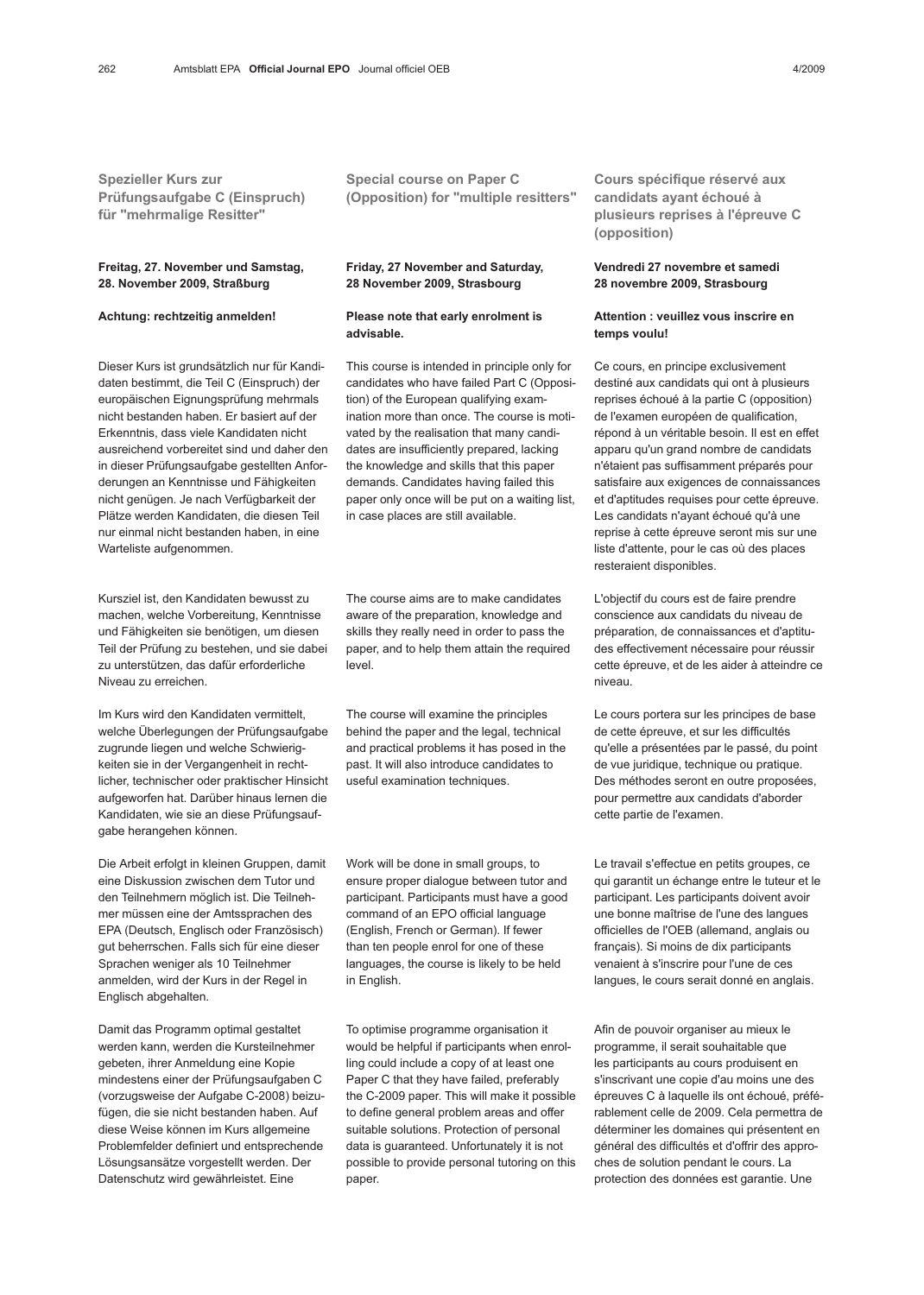Spezieller Kurs zur Prüfungsaufgabe C (Einspruch) für "mehrmalige Resitter"

## Freitag, 27. November und Samstag, 28. November 2009, Straßburg

## Achtung: rechtzeitig anmelden!

Dieser Kurs ist grundsätzlich nur für Kandidaten bestimmt, die Teil C (Einspruch) der europäischen Eignungsprüfung mehrmals nicht bestanden haben. Er basiert auf der Erkenntnis, dass viele Kandidaten nicht ausreichend vorbereitet sind und daher den in dieser Prüfungsaufgabe gestellten Anforderungen an Kenntnisse und Fähigkeiten nicht genügen. Je nach Verfügbarkeit der Plätze werden Kandidaten, die diesen Teil nur einmal nicht bestanden haben, in eine Warteliste aufgenommen.

Kursziel ist, den Kandidaten bewusst zu machen, welche Vorbereitung, Kenntnisse und Fähigkeiten sie benötigen, um diesen Teil der Prüfung zu bestehen, und sie dabei zu unterstützen, das dafür erforderliche Niveau zu erreichen.

Im Kurs wird den Kandidaten vermittelt, welche Überlegungen der Prüfungsaufgabe zugrunde liegen und welche Schwierigkeiten sie in der Vergangenheit in rechtlicher, technischer oder praktischer Hinsicht aufgeworfen hat. Darüber hinaus lernen die Kandidaten, wie sie an diese Prüfungsaufgabe herangehen können.

Die Arbeit erfolgt in kleinen Gruppen, damit eine Diskussion zwischen dem Tutor und den Teilnehmern möglich ist. Die Teilnehmer müssen eine der Amtssprachen des EPA (Deutsch, Englisch oder Französisch) gut beherrschen. Falls sich für eine dieser Sprachen weniger als 10 Teilnehmer anmelden, wird der Kurs in der Regel in Englisch abgehalten.

Damit das Programm optimal gestaltet werden kann, werden die Kursteilnehmer gebeten, ihrer Anmeldung eine Kopie mindestens einer der Prüfungsaufgaben C (vorzugsweise der Aufgabe C-2008) beizufügen, die sie nicht bestanden haben. Auf diese Weise können im Kurs allgemeine Problemfelder definiert und entsprechende Lösungsansätze vorgestellt werden. Der Datenschutz wird gewährleistet. Eine

Special course on Paper C (Opposition) for "multiple resitters"

## Friday, 27 November and Saturday, 28 November 2009, Strasbourg

### Please note that early enrolment is advisable.

This course is intended in principle only for candidates who have failed Part C (Opposition) of the European qualifying examination more than once. The course is motivated by the realisation that many candidates are insufficiently prepared, lacking the knowledge and skills that this paper demands. Candidates having failed this paper only once will be put on a waiting list, in case places are still available.

The course aims are to make candidates aware of the preparation, knowledge and skills they really need in order to pass the paper, and to help them attain the required level.

The course will examine the principles behind the paper and the legal, technical and practical problems it has posed in the past. It will also introduce candidates to useful examination techniques.

Work will be done in small groups, to ensure proper dialogue between tutor and participant. Participants must have a good command of an EPO official language (English, French or German). If fewer than ten people enrol for one of these languages, the course is likely to be held in English.

To optimise programme organisation it would be helpful if participants when enrolling could include a copy of at least one Paper C that they have failed, preferably the C-2009 paper. This will make it possible to define general problem areas and offer suitable solutions. Protection of personal data is guaranteed. Unfortunately it is not possible to provide personal tutoring on this paper.

Cours spécifique réservé aux candidats ayant échoué à plusieurs reprises à l'épreuve C (opposition)

## Vendredi 27 novembre et samedi 28 novembre 2009, Strasbourg

### Attention : veuillez vous inscrire en temps voulu!

Ce cours, en principe exclusivement destiné aux candidats qui ont à plusieurs reprises échoué à la partie C (opposition) de l'examen européen de qualification, répond à un véritable besoin. Il est en effet apparu qu'un grand nombre de candidats n'étaient pas suffisamment préparés pour satisfaire aux exigences de connaissances et d'aptitudes requises pour cette épreuve. Les candidats n'ayant échoué qu'à une reprise à cette épreuve seront mis sur une liste d'attente, pour le cas où des places resteraient disponibles.

L'objectif du cours est de faire prendre conscience aux candidats du niveau de préparation, de connaissances et d'aptitudes effectivement nécessaire pour réussir cette épreuve, et de les aider à atteindre ce niveau.

Le cours portera sur les principes de base de cette épreuve, et sur les difficultés qu'elle a présentées par le passé, du point de vue juridique, technique ou pratique. Des méthodes seront en outre proposées, pour permettre aux candidats d'aborder cette partie de l'examen.

Le travail s'effectue en petits groupes, ce qui garantit un échange entre le tuteur et le participant. Les participants doivent avoir une bonne maîtrise de l'une des langues officielles de l'OEB (allemand, anglais ou français). Si moins de dix participants venaient à s'inscrire pour l'une de ces langues, le cours serait donné en anglais.

Afin de pouvoir organiser au mieux le programme, il serait souhaitable que les participants au cours produisent en s'inscrivant une copie d'au moins une des épreuves C à laquelle ils ont échoué, préférablement celle de 2009. Cela permettra de déterminer les domaines qui présentent en général des difficultés et d'offrir des approches de solution pendant le cours. La protection des données est garantie. Une